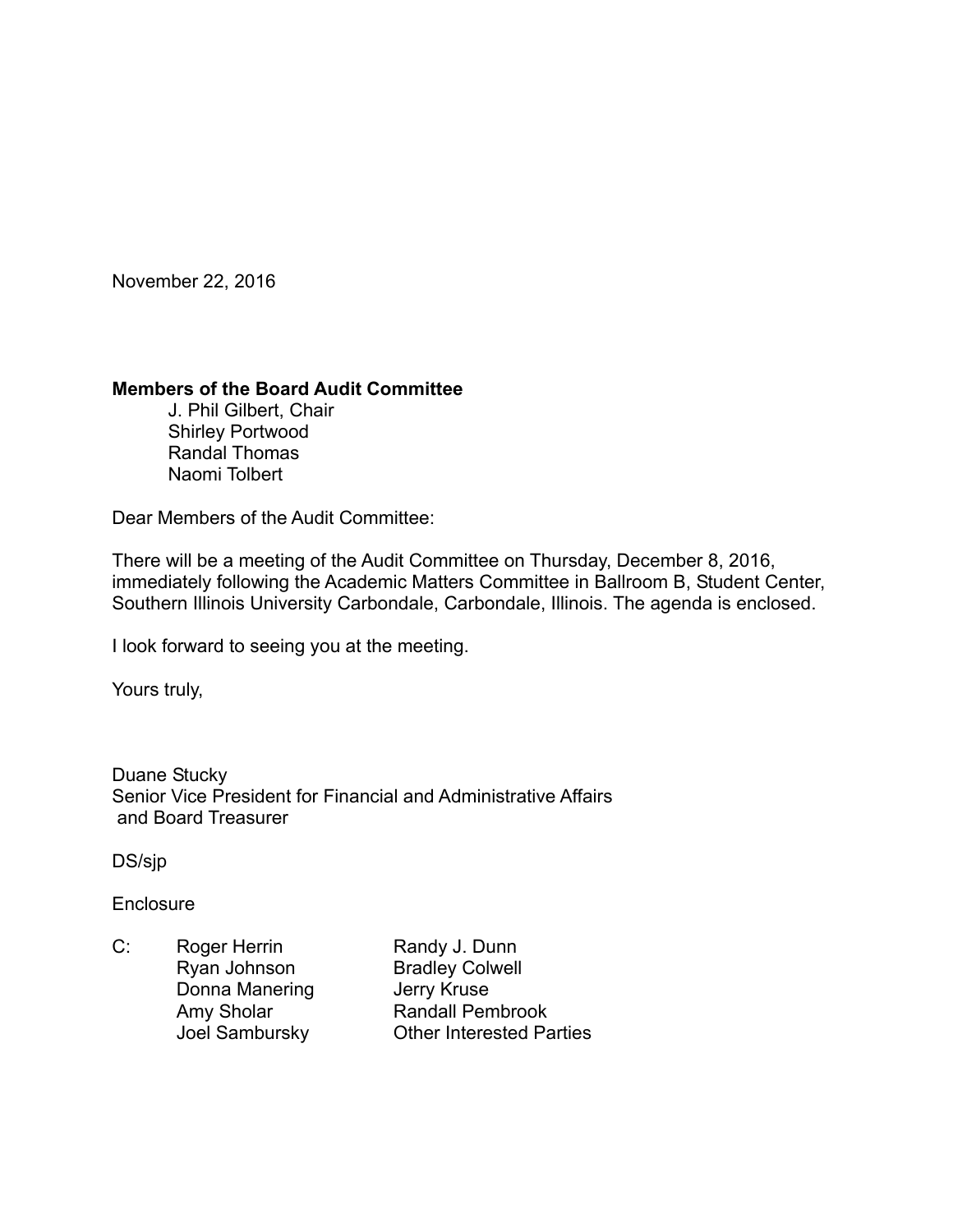November 22, 2016

### **Members of the Board Audit Committee**

 J. Phil Gilbert, Chair Shirley Portwood Randal Thomas Naomi Tolbert

Dear Members of the Audit Committee:

There will be a meeting of the Audit Committee on Thursday, December 8, 2016, immediately following the Academic Matters Committee in Ballroom B, Student Center, Southern Illinois University Carbondale, Carbondale, Illinois. The agenda is enclosed.

I look forward to seeing you at the meeting.

Yours truly,

Duane Stucky Senior Vice President for Financial and Administrative Affairs and Board Treasurer

DS/sjp

**Enclosure** 

C: Roger Herrin Randy J. Dunn Ryan Johnson Bradley Colwell Donna Manering **Jerry Kruse** 

Amy Sholar Randall Pembrook Joel Sambursky Other Interested Parties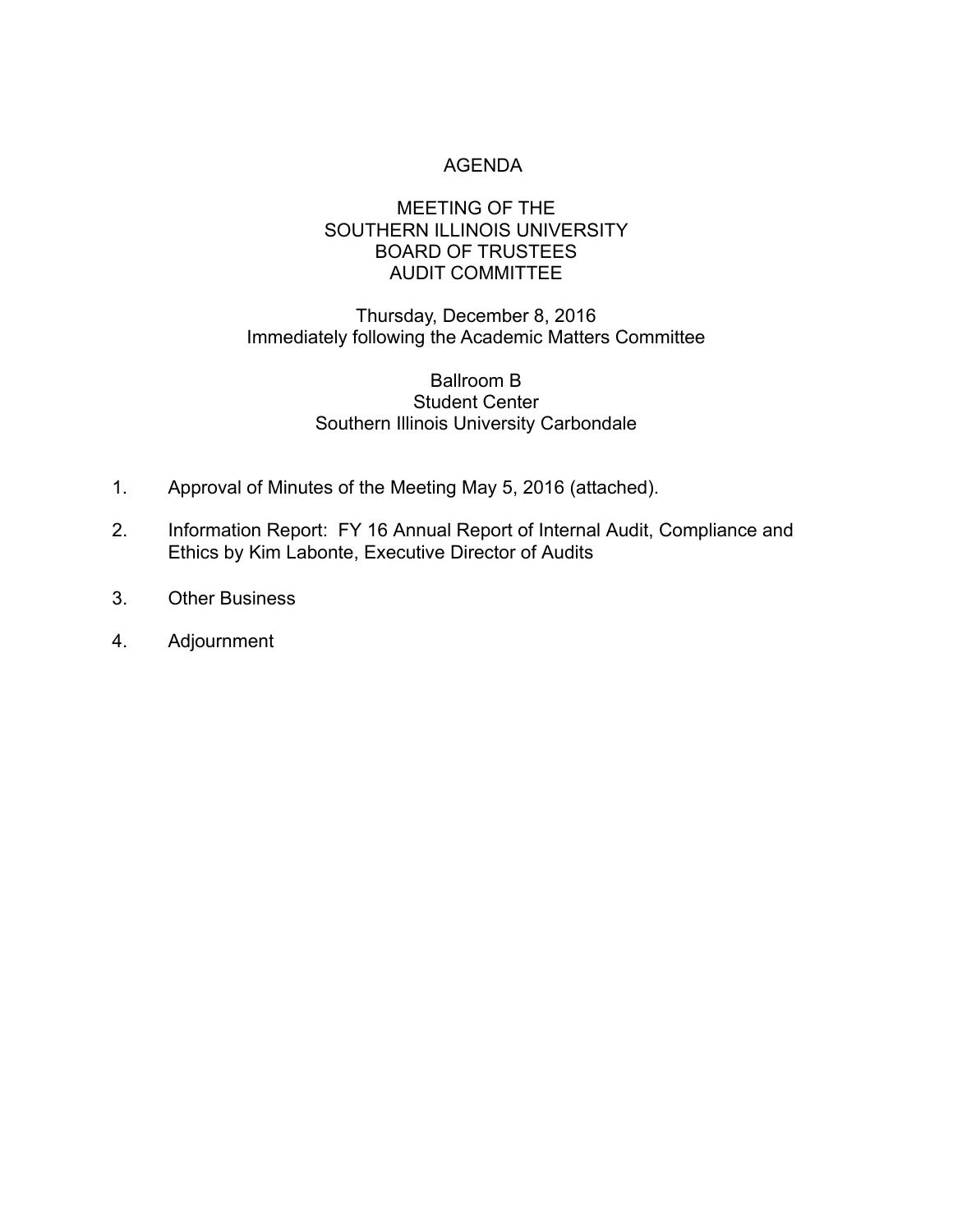# AGENDA

# MEETING OF THE SOUTHERN ILLINOIS UNIVERSITY BOARD OF TRUSTEES AUDIT COMMITTEE

# Thursday, December 8, 2016 Immediately following the Academic Matters Committee

## Ballroom B Student Center Southern Illinois University Carbondale

- 1. Approval of Minutes of the Meeting May 5, 2016 (attached).
- 2. Information Report: FY 16 Annual Report of Internal Audit, Compliance and Ethics by Kim Labonte, Executive Director of Audits
- 3. Other Business
- 4. Adjournment